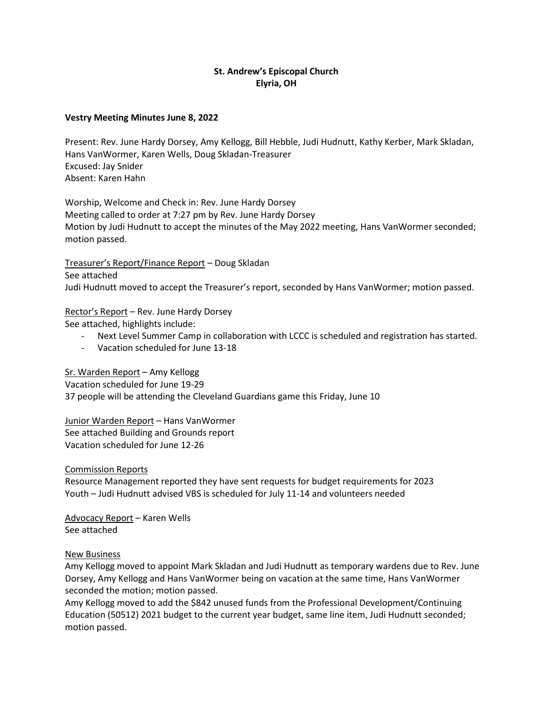# **St. Andrew's Episcopal Church Elyria, OH**

## **Vestry Meeting Minutes June 8, 2022**

Present: Rev. June Hardy Dorsey, Amy Kellogg, Bill Hebble, Judi Hudnutt, Kathy Kerber, Mark Skladan, Hans VanWormer, Karen Wells, Doug Skladan-Treasurer Excused: Jay Snider Absent: Karen Hahn

Worship, Welcome and Check in: Rev. June Hardy Dorsey Meeting called to order at 7:27 pm by Rev. June Hardy Dorsey Motion by Judi Hudnutt to accept the minutes of the May 2022 meeting, Hans VanWormer seconded; motion passed.

Treasurer's Report/Finance Report – Doug Skladan See attached Judi Hudnutt moved to accept the Treasurer's report, seconded by Hans VanWormer; motion passed.

Rector's Report – Rev. June Hardy Dorsey

See attached, highlights include:

- Next Level Summer Camp in collaboration with LCCC is scheduled and registration has started.
- Vacation scheduled for June 13-18

Sr. Warden Report – Amy Kellogg

Vacation scheduled for June 19-29 37 people will be attending the Cleveland Guardians game this Friday, June 10

Junior Warden Report – Hans VanWormer See attached Building and Grounds report Vacation scheduled for June 12-26

Commission Reports

Resource Management reported they have sent requests for budget requirements for 2023 Youth – Judi Hudnutt advised VBS is scheduled for July 11-14 and volunteers needed

Advocacy Report – Karen Wells See attached

## New Business

Amy Kellogg moved to appoint Mark Skladan and Judi Hudnutt as temporary wardens due to Rev. June Dorsey, Amy Kellogg and Hans VanWormer being on vacation at the same time, Hans VanWormer seconded the motion; motion passed.

Amy Kellogg moved to add the \$842 unused funds from the Professional Development/Continuing Education (50512) 2021 budget to the current year budget, same line item, Judi Hudnutt seconded; motion passed.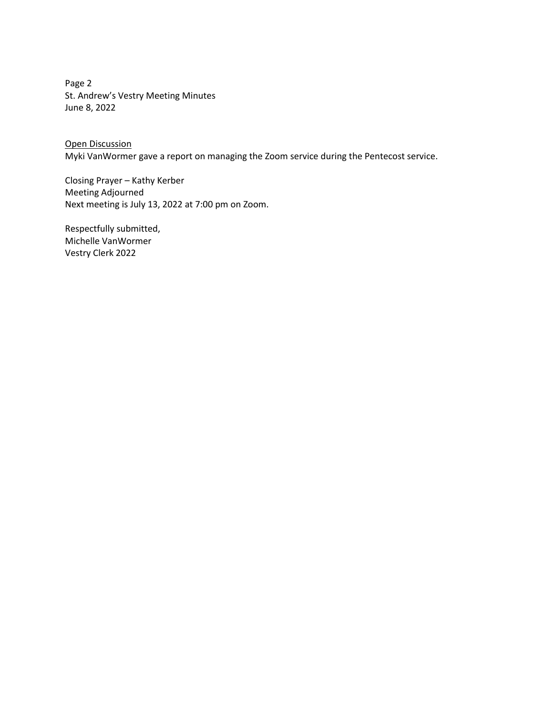Page 2 St. Andrew's Vestry Meeting Minutes June 8, 2022

Open Discussion Myki VanWormer gave a report on managing the Zoom service during the Pentecost service.

Closing Prayer – Kathy Kerber Meeting Adjourned Next meeting is July 13, 2022 at 7:00 pm on Zoom.

Respectfully submitted, Michelle VanWormer Vestry Clerk 2022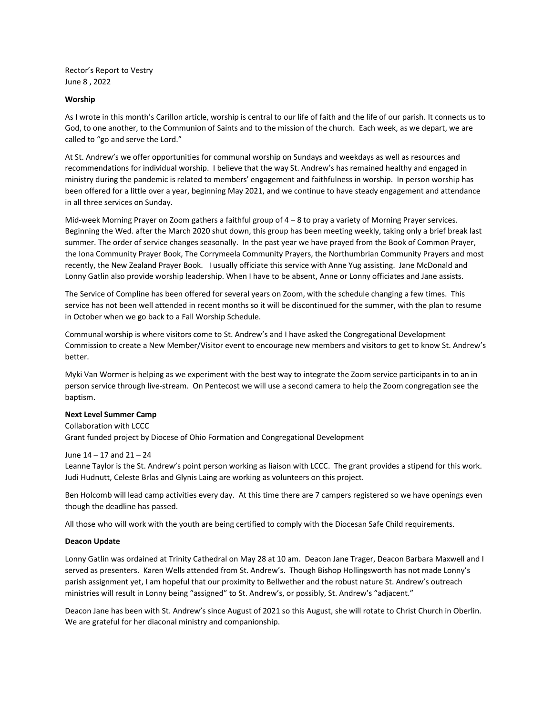Rector's Report to Vestry June 8 , 2022

### **Worship**

As I wrote in this month's Carillon article, worship is central to our life of faith and the life of our parish. It connects us to God, to one another, to the Communion of Saints and to the mission of the church. Each week, as we depart, we are called to "go and serve the Lord."

At St. Andrew's we offer opportunities for communal worship on Sundays and weekdays as well as resources and recommendations for individual worship. I believe that the way St. Andrew's has remained healthy and engaged in ministry during the pandemic is related to members' engagement and faithfulness in worship. In person worship has been offered for a little over a year, beginning May 2021, and we continue to have steady engagement and attendance in all three services on Sunday.

Mid-week Morning Prayer on Zoom gathers a faithful group of 4 – 8 to pray a variety of Morning Prayer services. Beginning the Wed. after the March 2020 shut down, this group has been meeting weekly, taking only a brief break last summer. The order of service changes seasonally. In the past year we have prayed from the Book of Common Prayer, the Iona Community Prayer Book, The Corrymeela Community Prayers, the Northumbrian Community Prayers and most recently, the New Zealand Prayer Book. I usually officiate this service with Anne Yug assisting. Jane McDonald and Lonny Gatlin also provide worship leadership. When I have to be absent, Anne or Lonny officiates and Jane assists.

The Service of Compline has been offered for several years on Zoom, with the schedule changing a few times. This service has not been well attended in recent months so it will be discontinued for the summer, with the plan to resume in October when we go back to a Fall Worship Schedule.

Communal worship is where visitors come to St. Andrew's and I have asked the Congregational Development Commission to create a New Member/Visitor event to encourage new members and visitors to get to know St. Andrew's better.

Myki Van Wormer is helping as we experiment with the best way to integrate the Zoom service participants in to an in person service through live-stream. On Pentecost we will use a second camera to help the Zoom congregation see the baptism.

#### **Next Level Summer Camp**

Collaboration with LCCC Grant funded project by Diocese of Ohio Formation and Congregational Development

#### June 14 – 17 and 21 – 24

Leanne Taylor is the St. Andrew's point person working as liaison with LCCC. The grant provides a stipend for this work. Judi Hudnutt, Celeste Brlas and Glynis Laing are working as volunteers on this project.

Ben Holcomb will lead camp activities every day. At this time there are 7 campers registered so we have openings even though the deadline has passed.

All those who will work with the youth are being certified to comply with the Diocesan Safe Child requirements.

#### **Deacon Update**

Lonny Gatlin was ordained at Trinity Cathedral on May 28 at 10 am. Deacon Jane Trager, Deacon Barbara Maxwell and I served as presenters. Karen Wells attended from St. Andrew's. Though Bishop Hollingsworth has not made Lonny's parish assignment yet, I am hopeful that our proximity to Bellwether and the robust nature St. Andrew's outreach ministries will result in Lonny being "assigned" to St. Andrew's, or possibly, St. Andrew's "adjacent."

Deacon Jane has been with St. Andrew's since August of 2021 so this August, she will rotate to Christ Church in Oberlin. We are grateful for her diaconal ministry and companionship.